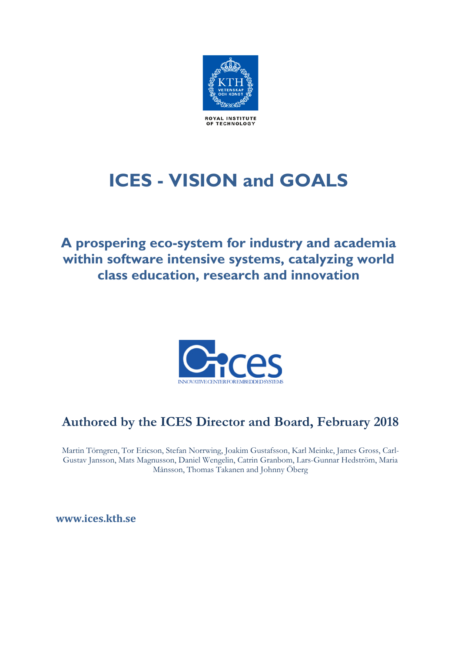

# **ICES - VISION and GOALS**

**A prospering eco-system for industry and academia within software intensive systems, catalyzing world class education, research and innovation**



# **Authored by the ICES Director and Board, February 2018**

Martin Törngren, Tor Ericson, Stefan Norrwing, Joakim Gustafsson, Karl Meinke, James Gross, Carl-Gustav Jansson, Mats Magnusson, Daniel Wengelin, Catrin Granbom, Lars-Gunnar Hedström, Maria Månsson, Thomas Takanen and Johnny Öberg

**[www.ices.kth.se](http://www.ices.kth.se1/)**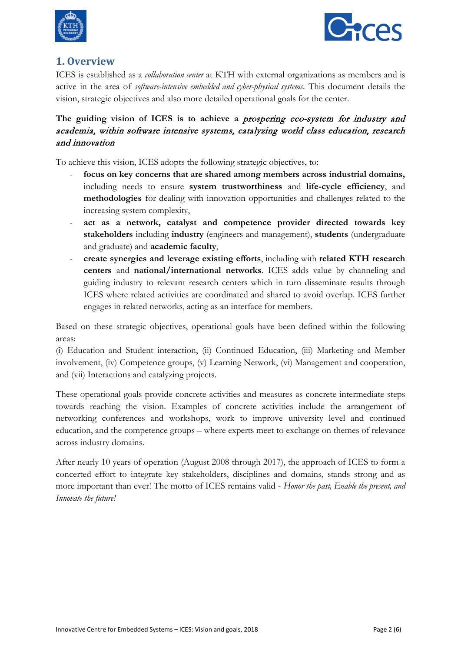



### **[1.](http://www.ices.kth.se1/) Overview**

ICES is established as a *collaboration center* at KTH with external organizations as members and is active in the area of *software-intensive embedded and cyber-physical systems*. This document details the vision, strategic objectives and also more detailed operational goals for the center.

#### **The guiding vision of ICES is to achieve a** prospering eco-system for industry and academia, within software intensive systems, catalyzing world class education, research and innovation

To achieve this vision, ICES adopts the following strategic objectives, to:

- focus on key concerns that are shared among members across industrial domains, including needs to ensure **system trustworthiness** and **life-cycle efficiency**, and **methodologies** for dealing with innovation opportunities and challenges related to the increasing system complexity,
- **act as a network, catalyst and competence provider directed towards key stakeholders** including **industry** (engineers and management), **students** (undergraduate and graduate) and **academic faculty**,
- **create synergies and leverage existing efforts**, including with **related KTH research centers** and **national/international networks**. ICES adds value by channeling and guiding industry to relevant research centers which in turn disseminate results through ICES where related activities are coordinated and shared to avoid overlap. ICES further engages in related networks, acting as an interface for members.

Based on these strategic objectives, operational goals have been defined within the following areas:

(i) Education and Student interaction, (ii) Continued Education, (iii) Marketing and Member involvement, (iv) Competence groups, (v) Learning Network, (vi) Management and cooperation, and (vii) Interactions and catalyzing projects.

These operational goals provide concrete activities and measures as concrete intermediate steps towards reaching the vision. Examples of concrete activities include the arrangement of networking conferences and workshops, work to improve university level and continued education, and the competence groups – where experts meet to exchange on themes of relevance across industry domains.

After nearly 10 years of operation (August 2008 through 2017), the approach of ICES to form a concerted effort to integrate key stakeholders, disciplines and domains, stands strong and as more important than ever! The motto of ICES remains valid - *Honor the past, Enable the present, and Innovate the future!*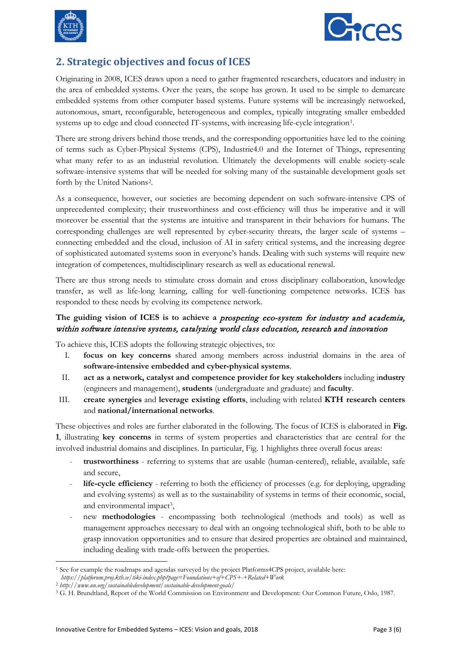



# **2. Strategic objectives and focus of ICES**

Originating in 2008, ICES draws upon a need to gather fragmented researchers, educators and industry in the area of embedded systems. Over the years, the scope has grown. It used to be simple to demarcate embedded systems from other computer based systems. Future systems will be increasingly networked, autonomous, smart, reconfigurable, heterogeneous and complex, typically integrating smaller embedded systems up to edge and cloud connected IT-systems, with increasing life-cycle integration[1](#page-2-0).

There are strong drivers behind those trends, and the corresponding opportunities have led to the coining of terms such as Cyber-Physical Systems (CPS), Industrie4.0 and the Internet of Things, representing what many refer to as an industrial revolution. Ultimately the developments will enable society-scale software-intensive systems that will be needed for solving many of the sustainable development goals set forth by the United Nations[2](#page-2-1).

As a consequence, however, our societies are becoming dependent on such software-intensive CPS of unprecedented complexity; their trustworthiness and cost-efficiency will thus be imperative and it will moreover be essential that the systems are intuitive and transparent in their behaviors for humans. The corresponding challenges are well represented by cyber-security threats, the larger scale of systems – connecting embedded and the cloud, inclusion of AI in safety critical systems, and the increasing degree of sophisticated automated systems soon in everyone's hands. Dealing with such systems will require new integration of competences, multidisciplinary research as well as educational renewal.

There are thus strong needs to stimulate cross domain and cross disciplinary collaboration, knowledge transfer, as well as life-long learning, calling for well-functioning competence networks. ICES has responded to these needs by evolving its competence network.

#### **The guiding vision of ICES is to achieve a** prospering eco-system for industry and academia, within software intensive systems, catalyzing world class education, research and innovation

To achieve this, ICES adopts the following strategic objectives, to:

- I. **focus on key concerns** shared among members across industrial domains in the area of **software-intensive embedded and cyber-physical systems**.
- II. **act as a network, catalyst and competence provider for key stakeholders** including i**ndustry** (engineers and management), **students** (undergraduate and graduate) and **faculty**.
- III. **create synergies** and **leverage existing efforts**, including with related **KTH research centers** and **national/international networks**.

These objectives and roles are further elaborated in the following. The focus of ICES is elaborated in **Fig. 1**, illustrating **key concerns** in terms of system properties and characteristics that are central for the involved industrial domains and disciplines. In particular, Fig. 1 highlights three overall focus areas:

- **trustworthiness** referring to systems that are usable (human-centered), reliable, available, safe and secure,
- **life-cycle efficiency**  referring to both the efficiency of processes (e.g. for deploying, upgrading and evolving systems) as well as to the sustainability of systems in terms of their economic, social, and environmental impact[3,](#page-2-2)
- new **methodologies** encompassing both technological (methods and tools) as well as management approaches necessary to deal with an ongoing technological shift, both to be able to grasp innovation opportunities and to ensure that desired properties are obtained and maintained, including dealing with trade-offs between the properties.

<span id="page-2-0"></span>**<sup>.</sup>** <sup>1</sup> See for example the roadmaps and agendas surveyed by the project Platforms4CPS project, available here: *https://platforum.proj.kth.se/tiki-index.php?page=Foundations+of+CPS+-+Related+Work*

<span id="page-2-1"></span><sup>2</sup> *http://www.un.org/sustainabledevelopment/sustainable-development-goals/*

<span id="page-2-2"></span><sup>3</sup> G. H. Brundtland, Report of the World Commission on Environment and Development: Our Common Future, Oslo, 1987.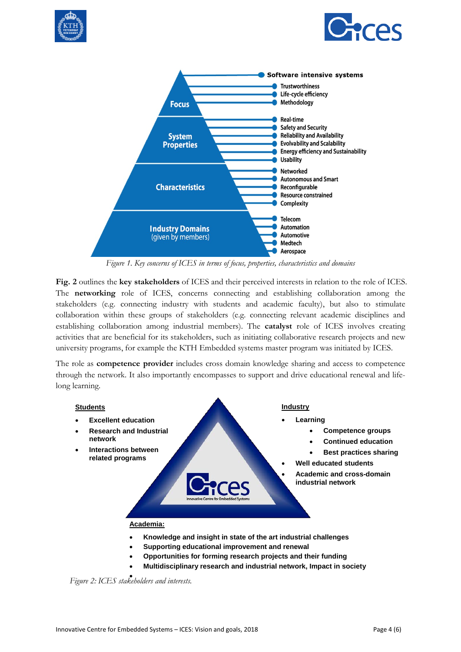





*Figure 1. Key concerns of ICES in terms of focus, properties, characteristics and domains*

**Fig. 2** outlines the **key stakeholders** of ICES and their perceived interests in relation to the role of ICES. The **networking** role of ICES, concerns connecting and establishing collaboration among the stakeholders (e.g. connecting industry with students and academic faculty), but also to stimulate collaboration within these groups of stakeholders (e.g. connecting relevant academic disciplines and establishing collaboration among industrial members). The **catalyst** role of ICES involves creating activities that are beneficial for its stakeholders, such as initiating collaborative research projects and new university programs, for example the KTH Embedded systems master program was initiated by ICES.

The role as **competence provider** includes cross domain knowledge sharing and access to competence through the network. It also importantly encompasses to support and drive educational renewal and lifelong learning.



- **Knowledge and insight in state of the art industrial challenges**
- **Supporting educational improvement and renewal**
- **Opportunities for forming research projects and their funding**
- **Multidisciplinary research and industrial network, Impact in society**

*Figure 2: ICES stakeholders and interests.* •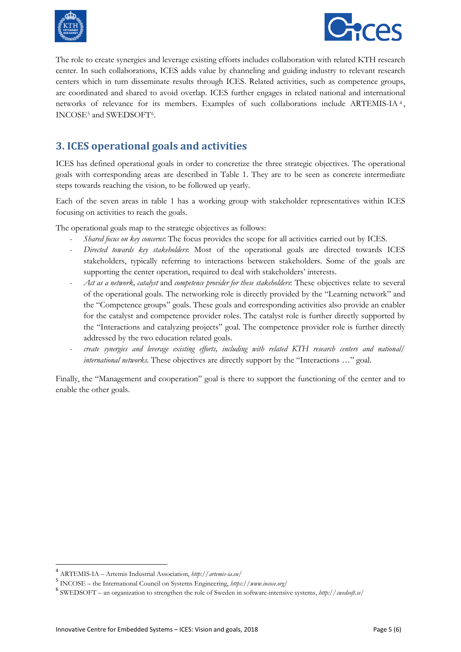



The role to create synergies and leverage existing efforts includes collaboration with related KTH research center. In such collaborations, ICES adds value by channeling and guiding industry to relevant research centers which in turn disseminate results through ICES. Related activities, such as competence groups, are coordinated and shared to avoid overlap. ICES further engages in related national and international networks of relevance for its members. Examples of such collaborations include ARTEMIS-IA [4](#page-4-0) , INCOSE[5](#page-4-1) and SWEDSOFT[6.](#page-4-2)

# **3. ICES operational goals and activities**

ICES has defined operational goals in order to concretize the three strategic objectives. The operational goals with corresponding areas are described in Table 1. They are to be seen as concrete intermediate steps towards reaching the vision, to be followed up yearly.

Each of the seven areas in table 1 has a working group with stakeholder representatives within ICES focusing on activities to reach the goals.

The operational goals map to the strategic objectives as follows:

- *Shared focus on key concerns*: The focus provides the scope for all activities carried out by ICES.
- *Directed towards key stakeholders*: Most of the operational goals are directed towards ICES stakeholders, typically referring to interactions between stakeholders. Some of the goals are supporting the center operation, required to deal with stakeholders' interests.
- *Act as a network, catalyst* and *competence provider for these stakeholders*: These objectives relate to several of the operational goals. The networking role is directly provided by the "Learning network" and the "Competence groups" goals. These goals and corresponding activities also provide an enabler for the catalyst and competence provider roles. The catalyst role is further directly supported by the "Interactions and catalyzing projects" goal. The competence provider role is further directly addressed by the two education related goals.
- *create synergies and leverage existing efforts, including with related KTH research centers and national/ international networks.* These objectives are directly support by the "Interactions …" goal.

Finally, the "Management and cooperation" goal is there to support the functioning of the center and to enable the other goals.

 <sup>4</sup> ARTEMIS-IA – Artemis Industrial Association, *http://artemis-ia.eu/*

<span id="page-4-1"></span><span id="page-4-0"></span><sup>5</sup> INCOSE – the International Council on Systems Engineering, *https://www.incose.org/*

<span id="page-4-2"></span><sup>6</sup> SWEDSOFT – an organization to strengthen the role of Sweden in software-intensive systems, *http://swedsoft.se/*